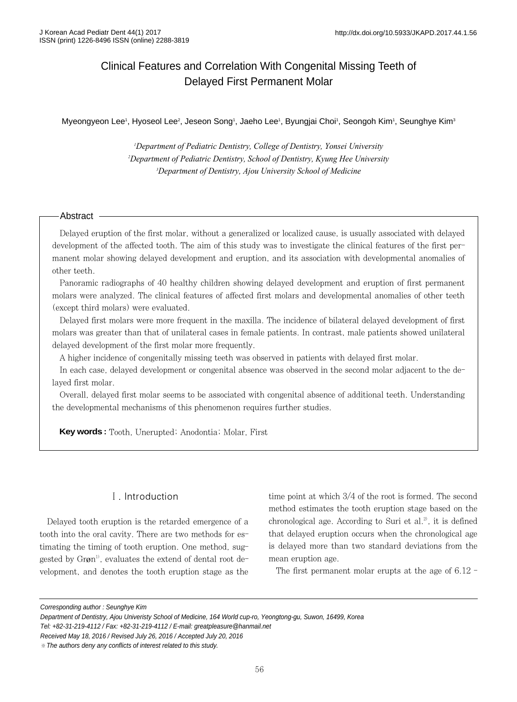# Clinical Features and Correlation With Congenital Missing Teeth of Delayed First Permanent Molar

Myeongyeon Lee<sup>1</sup>, Hyoseol Lee<sup>2</sup>, Jeseon Song<sup>1</sup>, Jaeho Lee<sup>1</sup>, Byungjai Choi<sup>1</sup>, Seongoh Kim<sup>1</sup>, Seunghye Kim<sup>3</sup>

*1 Department of Pediatric Dentistry, College of Dentistry, Yonsei University 2 Department of Pediatric Dentistry, School of Dentistry, Kyung Hee University 3 Department of Dentistry, Ajou University School of Medicine*

### Abstract

Delayed eruption of the first molar, without a generalized or localized cause, is usually associated with delayed development of the affected tooth. The aim of this study was to investigate the clinical features of the first permanent molar showing delayed development and eruption, and its association with developmental anomalies of other teeth.

Panoramic radiographs of 40 healthy children showing delayed development and eruption of first permanent molars were analyzed. The clinical features of affected first molars and developmental anomalies of other teeth (except third molars) were evaluated.

Delayed first molars were more frequent in the maxilla. The incidence of bilateral delayed development of first molars was greater than that of unilateral cases in female patients. In contrast, male patients showed unilateral delayed development of the first molar more frequently.

A higher incidence of congenitally missing teeth was observed in patients with delayed first molar.

In each case, delayed development or congenital absence was observed in the second molar adjacent to the delayed first molar.

Overall, delayed first molar seems to be associated with congenital absence of additional teeth. Understanding the developmental mechanisms of this phenomenon requires further studies.

**Key words :** Tooth, Unerupted; Anodontia; Molar, First

# Ⅰ. Introduction

Delayed tooth eruption is the retarded emergence of a tooth into the oral cavity. There are two methods for estimating the timing of tooth eruption. One method, suggested by  $Gr\varnothing n^{1}$ , evaluates the extend of dental root development, and denotes the tooth eruption stage as the time point at which 3/4 of the root is formed. The second method estimates the tooth eruption stage based on the chronological age. According to Suri et al. $^{2}$ , it is defined that delayed eruption occurs when the chronological age is delayed more than two standard deviations from the mean eruption age.

The first permanent molar erupts at the age of 6.12 -

Corresponding author : Seunghye Kim

Tel: +82-31-219-4112 / Fax: +82-31-219-4112 / E-mail: greatpleasure@hanmail.net

Received May 18, 2016 / Revised July 26, 2016 / Accepted July 20, 2016

Department of Dentistry, Ajou Univeristy School of Medicine, 164 World cup-ro, Yeongtong-gu, Suwon, 16499, Korea

<sup>※</sup>The authors deny any conflicts of interest related to this study.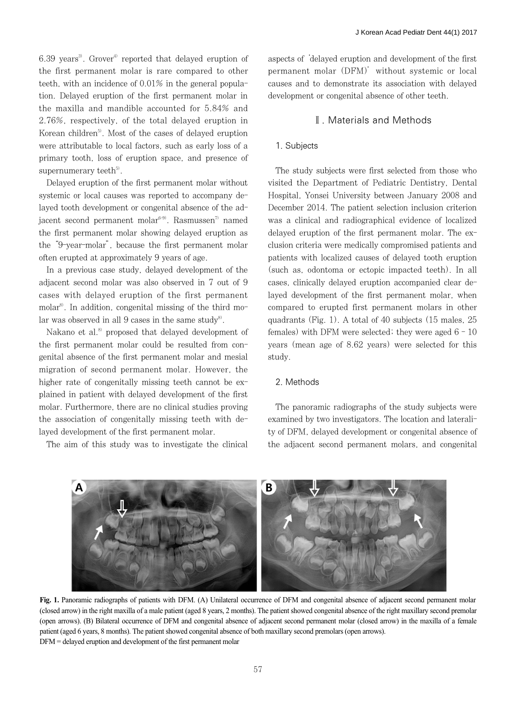6.39 years<sup>3</sup>. Grover<sup>4)</sup> reported that delayed eruption of the first permanent molar is rare compared to other teeth, with an incidence of 0.01% in the general population. Delayed eruption of the first permanent molar in the maxilla and mandible accounted for 5.84% and 2.76%, respectively, of the total delayed eruption in Korean children<sup>5</sup>. Most of the cases of delayed eruption were attributable to local factors, such as early loss of a primary tooth, loss of eruption space, and presence of supernumerary teeth $5$ .

Delayed eruption of the first permanent molar without systemic or local causes was reported to accompany delayed tooth development or congenital absence of the adjacent second permanent molar<sup>6-9)</sup>. Rasmussen<sup>7)</sup> named the first permanent molar showing delayed eruption as the "9-year-molar", because the first permanent molar often erupted at approximately 9 years of age.

In a previous case study, delayed development of the adjacent second molar was also observed in 7 out of 9 cases with delayed eruption of the first permanent molar<sup>8)</sup>. In addition, congenital missing of the third molar was observed in all 9 cases in the same study<sup>8)</sup>.

Nakano et al.<sup>8)</sup> proposed that delayed development of the first permanent molar could be resulted from congenital absence of the first permanent molar and mesial migration of second permanent molar. However, the higher rate of congenitally missing teeth cannot be explained in patient with delayed development of the first molar. Furthermore, there are no clinical studies proving the association of congenitally missing teeth with delayed development of the first permanent molar.

The aim of this study was to investigate the clinical

aspects of 'delayed eruption and development of the first permanent molar (DFM)' without systemic or local causes and to demonstrate its association with delayed development or congenital absence of other teeth.

# Ⅱ. Materials and Methods

### 1. Subjects

The study subjects were first selected from those who visited the Department of Pediatric Dentistry, Dental Hospital, Yonsei University between January 2008 and December 2014. The patient selection inclusion criterion was a clinical and radiographical evidence of localized delayed eruption of the first permanent molar. The exclusion criteria were medically compromised patients and patients with localized causes of delayed tooth eruption (such as, odontoma or ectopic impacted teeth). In all cases, clinically delayed eruption accompanied clear delayed development of the first permanent molar, when compared to erupted first permanent molars in other quadrants (Fig. 1). A total of 40 subjects (15 males, 25 females) with DFM were selected; they were aged  $6 - 10$ years (mean age of 8.62 years) were selected for this study.

## 2. Methods

The panoramic radiographs of the study subjects were examined by two investigators. The location and laterality of DFM, delayed development or congenital absence of the adjacent second permanent molars, and congenital



**Fig. 1.** Panoramic radiographs of patients with DFM. (A) Unilateral occurrence of DFM and congenital absence of adjacent second permanent molar (closed arrow) in the right maxilla of a male patient (aged 8 years, 2 months). The patient showed congenital absence of the right maxillary second premolar (open arrows). (B) Bilateral occurrence of DFM and congenital absence of adjacent second permanent molar (closed arrow) in the maxilla of a female patient (aged 6 years, 8 months). The patient showed congenital absence of both maxillary second premolars (open arrows). DFM = delayed eruption and development of the first permanent molar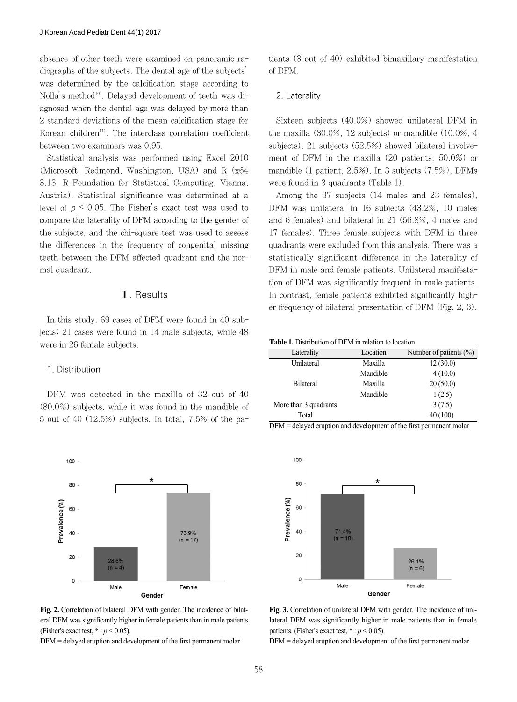absence of other teeth were examined on panoramic radiographs of the subjects. The dental age of the subjects' was determined by the calcification stage according to Nolla's method<sup>10)</sup>. Delayed development of teeth was diagnosed when the dental age was delayed by more than 2 standard deviations of the mean calcification stage for Korean children<sup>11)</sup>. The interclass correlation coefficient between two examiners was 0.95.

Statistical analysis was performed using Excel 2010 (Microsoft, Redmond, Washington, USA) and R (x64 3.13, R Foundation for Statistical Computing, Vienna, Austria). Statistical significance was determined at a level of  $p \le 0.05$ . The Fisher's exact test was used to compare the laterality of DFM according to the gender of the subjects, and the chi-square test was used to assess the differences in the frequency of congenital missing teeth between the DFM affected quadrant and the normal quadrant.

### Ⅲ. Results

In this study, 69 cases of DFM were found in 40 subjects; 21 cases were found in 14 male subjects, while 48 were in 26 female subjects.

#### 1. Distribution

DFM was detected in the maxilla of 32 out of 40 (80.0%) subjects, while it was found in the mandible of 5 out of 40 (12.5%) subjects. In total, 7.5% of the pa-

100 80 Prevalence (%) 60 40 73.9%  $(n = 17)$ 20 28.6%  $(n = 4)$  $\circ$ Female Male Gender

**Fig. 2.** Correlation of bilateral DFM with gender. The incidence of bilateral DFM was significantly higher in female patients than in male patients (Fisher's exact test,  $* : p < 0.05$ ).

DFM = delayed eruption and development of the first permanent molar

tients (3 out of 40) exhibited bimaxillary manifestation of DFM.

#### 2. Laterality

Sixteen subjects (40.0%) showed unilateral DFM in the maxilla (30.0%, 12 subjects) or mandible (10.0%, 4 subjects), 21 subjects (52.5%) showed bilateral involvement of DFM in the maxilla (20 patients, 50.0%) or mandible (1 patient, 2.5%). In 3 subjects (7.5%), DFMs were found in 3 quadrants (Table 1).

Among the 37 subjects (14 males and 23 females), DFM was unilateral in 16 subjects (43.2%, 10 males and 6 females) and bilateral in 21 (56.8%, 4 males and 17 females). Three female subjects with DFM in three quadrants were excluded from this analysis. There was a statistically significant difference in the laterality of DFM in male and female patients. Unilateral manifestation of DFM was significantly frequent in male patients. In contrast, female patients exhibited significantly higher frequency of bilateral presentation of DFM (Fig. 2, 3).

**Table 1.** Distribution of DFM in relation to location

| Laterality            | Location | Number of patients $(\% )$ |
|-----------------------|----------|----------------------------|
| Unilateral            | Maxilla  | 12(30.0)                   |
|                       | Mandible | 4(10.0)                    |
| <b>Bilateral</b>      | Maxilla  | 20(50.0)                   |
|                       | Mandible | 1(2.5)                     |
| More than 3 quadrants |          | 3(7.5)                     |
| Total                 |          | 40(100)                    |

DFM = delayed eruption and development of the first permanent molar



**Fig. 3.** Correlation of unilateral DFM with gender. The incidence of unilateral DFM was significantly higher in male patients than in female patients. (Fisher's exact test,  $* : p < 0.05$ ).

DFM = delayed eruption and development of the first permanent molar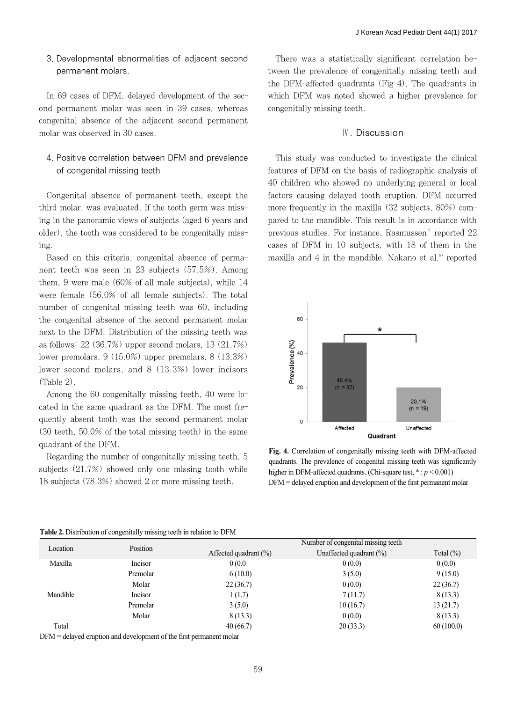# 3. Developmental abnormalities of adjacent second permanent molars.

In 69 cases of DFM, delayed development of the second permanent molar was seen in 39 cases, whereas congenital absence of the adjacent second permanent molar was observed in 30 cases.

# 4. Positive correlation between DFM and prevalence of congenital missing teeth

Congenital absence of permanent teeth, except the third molar, was evaluated. If the tooth germ was missing in the panoramic views of subjects (aged 6 years and older), the tooth was considered to be congenitally missing.

Based on this criteria, congenital absence of permanent teeth was seen in 23 subjects (57.5%). Among them, 9 were male (60% of all male subjects), while 14 were female (56.0% of all female subjects). The total number of congenital missing teeth was 60, including the congenital absence of the second permanent molar next to the DFM. Distribution of the missing teeth was as follows: 22 (36.7%) upper second molars, 13 (21.7%) lower premolars, 9 (15.0%) upper premolars, 8 (13.3%) lower second molars, and 8 (13.3%) lower incisors (Table 2).

Among the 60 congenitally missing teeth, 40 were located in the same quadrant as the DFM. The most frequently absent tooth was the second permanent molar (30 teeth, 50.0% of the total missing teeth) in the same quadrant of the DFM.

Regarding the number of congenitally missing teeth, 5 subjects (21.7%) showed only one missing tooth while 18 subjects (78.3%) showed 2 or more missing teeth.

There was a statistically significant correlation between the prevalence of congenitally missing teeth and the DFM-affected quadrants (Fig 4). The quadrants in which DFM was noted showed a higher prevalence for congenitally missing teeth.

## Ⅳ. Discussion

This study was conducted to investigate the clinical features of DFM on the basis of radiographic analysis of 40 children who showed no underlying general or local factors causing delayed tooth eruption. DFM occurred more frequently in the maxilla (32 subjects, 80%) compared to the mandible. This result is in accordance with previous studies. For instance, Rasmussen<sup> $7$ </sup> reported 22 cases of DFM in 10 subjects, with 18 of them in the maxilla and 4 in the mandible. Nakano et al. $8$  reported



**Fig. 4.** Correlation of congenitally missing teeth with DFM-affected quadrants. The prevalence of congenital missing teeth was significantly higher in DFM-affected quadrants. (Chi-square test,  $* : p < 0.001$ ) DFM = delayed eruption and development of the first permanent molar

| Location |          | Number of congenital missing teeth. |                            |              |  |
|----------|----------|-------------------------------------|----------------------------|--------------|--|
|          | Position | Affected quadrant $(\%)$            | Unaffected quadrant $(\%)$ | Total $(\%)$ |  |
| Maxilla  | Incisor  | 0(0.0)                              | 0(0.0)                     | 0(0.0)       |  |
| Mandible | Premolar | 6(10.0)                             | 3(5.0)                     | 9(15.0)      |  |
|          | Molar    | 22(36.7)                            | 0(0.0)                     | 22(36.7)     |  |
|          | Incisor  | 1(1.7)                              | 7(11.7)                    | 8(13.3)      |  |
|          | Premolar | 3(5.0)                              | 10(16.7)                   | 13(21.7)     |  |
|          | Molar    | 8(13.3)                             | 0(0.0)                     | 8(13.3)      |  |
| Total    |          | 40(66.7)                            | 20(33.3)                   | 60(100.0)    |  |

#### **Table 2.** Distribution of congenitally missing teeth in relation to DFM

DFM = delayed eruption and development of the first permanent molar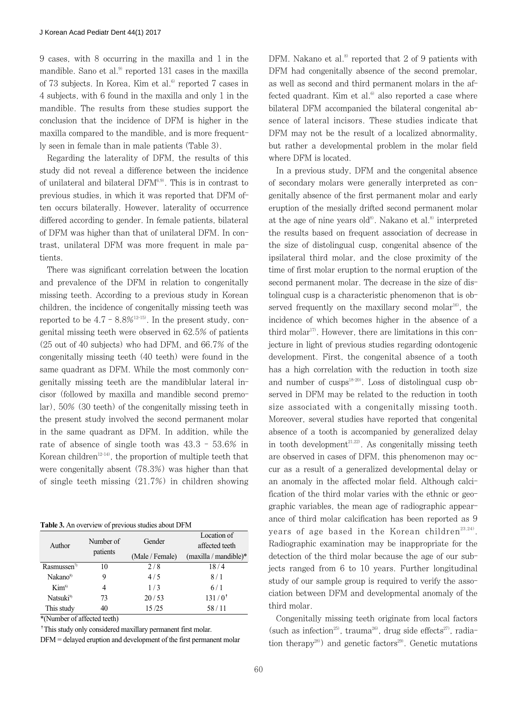9 cases, with 8 occurring in the maxilla and 1 in the mandible. Sano et al.<sup>9)</sup> reported 131 cases in the maxilla of 73 subjects. In Korea, Kim et al. $6$  reported 7 cases in 4 subjects, with 6 found in the maxilla and only 1 in the mandible. The results from these studies support the conclusion that the incidence of DFM is higher in the maxilla compared to the mandible, and is more frequently seen in female than in male patients (Table 3).

Regarding the laterality of DFM, the results of this study did not reveal a difference between the incidence of unilateral and bilateral  $DFM<sup>6,9)</sup>$ . This is in contrast to previous studies, in which it was reported that DFM often occurs bilaterally. However, laterality of occurrence differed according to gender. In female patients, bilateral of DFM was higher than that of unilateral DFM. In contrast, unilateral DFM was more frequent in male patients.

There was significant correlation between the location and prevalence of the DFM in relation to congenitally missing teeth. According to a previous study in Korean children, the incidence of congenitally missing teeth was reported to be  $4.7 - 8.8\%$ <sup>12-15</sup>. In the present study, congenital missing teeth were observed in 62.5% of patients (25 out of 40 subjects) who had DFM, and 66.7% of the congenitally missing teeth (40 teeth) were found in the same quadrant as DFM. While the most commonly congenitally missing teeth are the mandiblular lateral incisor (followed by maxilla and mandible second premolar), 50% (30 teeth) of the congenitally missing teeth in the present study involved the second permanent molar in the same quadrant as DFM. In addition, while the rate of absence of single tooth was 43.3 - 53.6% in Korean children<sup>12-14)</sup>, the proportion of multiple teeth that were congenitally absent (78.3%) was higher than that of single teeth missing (21.7%) in children showing

| <b>Table 3.</b> An overview of previous studies about DFM |  |  |
|-----------------------------------------------------------|--|--|
|                                                           |  |  |

| Author                  | Number of<br>patients |                 | Location of             |
|-------------------------|-----------------------|-----------------|-------------------------|
|                         |                       | Gender          | affected teeth          |
|                         |                       | (Male / Female) | $(maxilla / mandible)*$ |
| Rasmussen <sup>7)</sup> | 10                    | 2/8             | 18/4                    |
| Nakano <sup>8)</sup>    | 9                     | 4/5             | 8/1                     |
| Kim <sup>6</sup>        | 4                     | 1/3             | 6/1                     |
| Natsuki <sup>9)</sup>   | 73                    | 20/53           | $131/0^{+}$             |
| This study              | 40                    | 15/25           | 58/11                   |
|                         |                       |                 |                         |

\*(Number of affected teeth)

<sup>†</sup>This study only considered maxillary permanent first molar.

DFM = delayed eruption and development of the first permanent molar

DFM. Nakano et al.<sup>8)</sup> reported that 2 of 9 patients with DFM had congenitally absence of the second premolar, as well as second and third permanent molars in the affected quadrant. Kim et al. $6$  also reported a case where bilateral DFM accompanied the bilateral congenital absence of lateral incisors. These studies indicate that DFM may not be the result of a localized abnormality, but rather a developmental problem in the molar field where DFM is located.

In a previous study, DFM and the congenital absence of secondary molars were generally interpreted as congenitally absence of the first permanent molar and early eruption of the mesially drifted second permanent molar at the age of nine years old<sup>8)</sup>. Nakano et al.<sup>8)</sup> interpreted the results based on frequent association of decrease in the size of distolingual cusp, congenital absence of the ipsilateral third molar, and the close proximity of the time of first molar eruption to the normal eruption of the second permanent molar. The decrease in the size of distolingual cusp is a characteristic phenomenon that is observed frequently on the maxillary second molar<sup>16</sup>, the incidence of which becomes higher in the absence of a third molar<sup>17</sup>. However, there are limitations in this conjecture in light of previous studies regarding odontogenic development. First, the congenital absence of a tooth has a high correlation with the reduction in tooth size and number of cusps<sup>18-20)</sup>. Loss of distolingual cusp observed in DFM may be related to the reduction in tooth size associated with a congenitally missing tooth. Moreover, several studies have reported that congenital absence of a tooth is accompanied by generalized delay in tooth development<sup>21,22)</sup>. As congenitally missing teeth are observed in cases of DFM, this phenomenon may occur as a result of a generalized developmental delay or an anomaly in the affected molar field. Although calcification of the third molar varies with the ethnic or geographic variables, the mean age of radiographic appearance of third molar calcification has been reported as 9 years of age based in the Korean children<sup>23,24)</sup>. Radiographic examination may be inappropriate for the detection of the third molar because the age of our subjects ranged from 6 to 10 years. Further longitudinal study of our sample group is required to verify the association between DFM and developmental anomaly of the third molar.

Congenitally missing teeth originate from local factors (such as infection<sup>25)</sup>, trauma<sup>26)</sup>, drug side effects<sup>27)</sup>, radiation therapy<sup>28)</sup> and genetic factors<sup>29)</sup>. Genetic mutations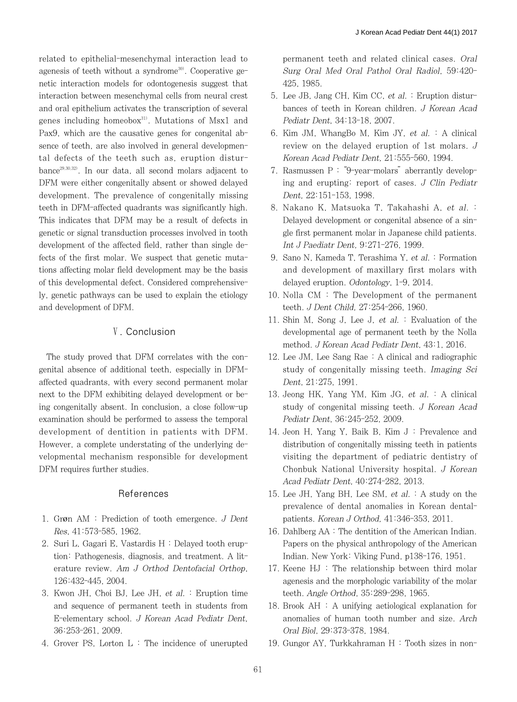related to epithelial-mesenchymal interaction lead to agenesis of teeth without a syndrome<sup>30)</sup>. Cooperative genetic interaction models for odontogenesis suggest that interaction between mesenchymal cells from neural crest and oral epithelium activates the transcription of several genes including homeobox $31$ . Mutations of Msx1 and Pax9, which are the causative genes for congenital absence of teeth, are also involved in general developmental defects of the teeth such as, eruption disturbance29,30,32). In our data, all second molars adjacent to DFM were either congenitally absent or showed delayed development. The prevalence of congenitally missing teeth in DFM-affected quadrants was significantly high. This indicates that DFM may be a result of defects in genetic or signal transduction processes involved in tooth development of the affected field, rather than single defects of the first molar. We suspect that genetic mutations affecting molar field development may be the basis of this developmental defect. Considered comprehensively, genetic pathways can be used to explain the etiology and development of DFM.

# Ⅴ. Conclusion

The study proved that DFM correlates with the congenital absence of additional teeth, especially in DFMaffected quadrants, with every second permanent molar next to the DFM exhibiting delayed development or being congenitally absent. In conclusion, a close follow-up examination should be performed to assess the temporal development of dentition in patients with DFM. However, a complete understating of the underlying developmental mechanism responsible for development DFM requires further studies.

# References

- 1. Grøn AM : Prediction of tooth emergence. J Dent Res, 41:573-585, 1962.
- 2. Suri L, Gagari E, Vastardis H : Delayed tooth eruption: Pathogenesis, diagnosis, and treatment. A literature review. Am J Orthod Dentofacial Orthop, 126:432-445, 2004.
- 3. Kwon JH, Choi BJ, Lee JH, et al. : Eruption time and sequence of permanent teeth in students from E-elementary school. J Korean Acad Pediatr Dent, 36:253-261, 2009.
- 4. Grover PS, Lorton L : The incidence of unerupted

permanent teeth and related clinical cases. Oral Surg Oral Med Oral Pathol Oral Radiol, 59:420- 425, 1985.

- 5. Lee JB, Jang CH, Kim CC, et al. : Eruption disturbances of teeth in Korean children. J Korean Acad Pediatr Dent, 34:13-18, 2007.
- 6. Kim JM, WhangBo M, Kim JY, et al. : A clinical review on the delayed eruption of 1st molars. J Korean Acad Pediatr Dent, 21:555-560, 1994.
- 7. Rasmussen P : "9-year-molars"aberrantly developing and erupting: report of cases. J Clin Pediatr Dent, 22:151-153, 1998.
- 8. Nakano K, Matsuoka T, Takahashi A, et al. : Delayed development or congenital absence of a single first permanent molar in Japanese child patients. Int J Paediatr Dent, 9:271-276, 1999.
- 9. Sano N, Kameda T, Terashima Y, et al. : Formation and development of maxillary first molars with delayed eruption. Odontology, 1-9, 2014.
- 10. Nolla CM : The Development of the permanent teeth. J Dent Child, 27:254-266, 1960.
- 11. Shin M, Song J, Lee J, et al. : Evaluation of the developmental age of permanent teeth by the Nolla method. J Korean Acad Pediatr Dent, 43:1, 2016.
- 12. Lee JM, Lee Sang Rae : A clinical and radiographic study of congenitally missing teeth. Imaging Sci Dent, 21:275, 1991.
- 13. Jeong HK, Yang YM, Kim JG, et al.  $: A$  clinical study of congenital missing teeth. J Korean Acad Pediatr Dent, 36:245-252, 2009.
- 14. Jeon H, Yang Y, Baik B, Kim J : Prevalence and distribution of congenitally missing teeth in patients visiting the department of pediatric dentistry of Chonbuk National University hospital. J Korean Acad Pediatr Dent, 40:274-282, 2013.
- 15. Lee JH, Yang BH, Lee SM,  $et$  al.  $\colon$  A study on the prevalence of dental anomalies in Korean dentalpatients. Korean J Orthod, 41:346-353, 2011.
- 16. Dahlberg AA : The dentition of the American Indian. Papers on the physical anthropology of the American Indian. New York: Viking Fund, p138-176, 1951.
- 17. Keene HJ : The relationship between third molar agenesis and the morphologic variability of the molar teeth. Angle Orthod, 35:289-298, 1965.
- 18. Brook AH : A unifying aetiological explanation for anomalies of human tooth number and size. Arch Oral Biol, 29:373-378, 1984.
- 19. Gungor AY, Turkkahraman H : Tooth sizes in non-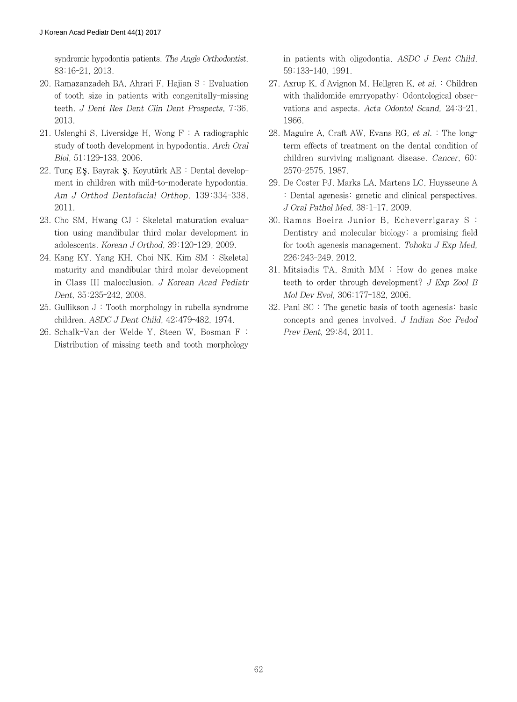syndromic hypodontia patients. The Angle Orthodontist, 83:16-21, 2013.

- 20. Ramazanzadeh BA, Ahrari F, Hajian S : Evaluation of tooth size in patients with congenitally-missing teeth. J Dent Res Dent Clin Dent Prospects, 7:36, 2013.
- 21. Uslenghi S, Liversidge H, Wong  $F : A$  radiographic study of tooth development in hypodontia. Arch Oral Biol, 51:129-133, 2006.
- 22. Tunç EŞ, Bayrak Ş, Koyutürk AE : Dental development in children with mild-to-moderate hypodontia. Am J Orthod Dentofacial Orthop, 139:334-338, 2011.
- 23. Cho SM, Hwang CJ : Skeletal maturation evaluation using mandibular third molar development in adolescents. Korean J Orthod, 39:120-129, 2009.
- 24. Kang KY, Yang KH, Choi NK, Kim SM : Skeletal maturity and mandibular third molar development in Class III malocclusion. J Korean Acad Pediatr Dent, 35:235-242, 2008.
- 25. Gullikson J : Tooth morphology in rubella syndrome children. ASDC J Dent Child, 42:479-482, 1974.
- 26. Schalk-Van der Weide Y, Steen W, Bosman F : Distribution of missing teeth and tooth morphology

in patients with oligodontia. ASDC J Dent Child, 59:133-140, 1991.

- 27. Axrup K, d'Avignon M, Hellgren K, et al. : Children with thalidomide emrryopathy: Odontological observations and aspects. Acta Odontol Scand, 24:3-21, 1966.
- 28. Maguire A, Craft AW, Evans RG, et al. : The longterm effects of treatment on the dental condition of children surviving malignant disease. Cancer, 60: 2570-2575, 1987.
- 29. De Coster PJ, Marks LA, Martens LC, Huysseune A : Dental agenesis: genetic and clinical perspectives. J Oral Pathol Med, 38:1-17, 2009.
- 30. Ramos Boeira Junior B, Echeverrigaray S : Dentistry and molecular biology: a promising field for tooth agenesis management. Tohoku J Exp Med, 226:243-249, 2012.
- 31. Mitsiadis TA, Smith MM : How do genes make teeth to order through development? J Exp Zool B Mol Dev Evol, 306:177-182, 2006.
- 32. Pani SC : The genetic basis of tooth agenesis: basic concepts and genes involved. J Indian Soc Pedod Prev Dent, 29:84, 2011.